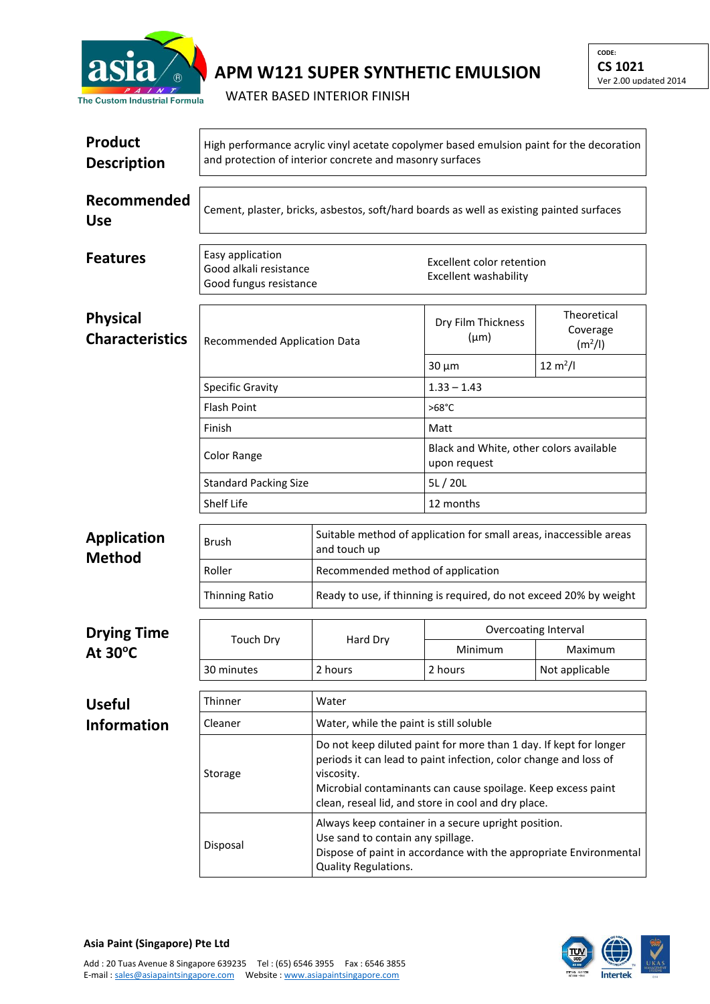

## **APM W121 SUPER SYNTHETIC EMULSION**

WATER BASED INTERIOR FINISH

| <b>Product</b><br><b>Description</b>      | High performance acrylic vinyl acetate copolymer based emulsion paint for the decoration<br>and protection of interior concrete and masonry surfaces |                                                                                    |                                                                                                                                                                                                                                                                                                                                                                                                                               |                                                |  |  |
|-------------------------------------------|------------------------------------------------------------------------------------------------------------------------------------------------------|------------------------------------------------------------------------------------|-------------------------------------------------------------------------------------------------------------------------------------------------------------------------------------------------------------------------------------------------------------------------------------------------------------------------------------------------------------------------------------------------------------------------------|------------------------------------------------|--|--|
| Recommended<br><b>Use</b>                 | Cement, plaster, bricks, asbestos, soft/hard boards as well as existing painted surfaces                                                             |                                                                                    |                                                                                                                                                                                                                                                                                                                                                                                                                               |                                                |  |  |
| <b>Features</b>                           | Easy application<br>Good alkali resistance<br>Good fungus resistance                                                                                 |                                                                                    | Excellent color retention<br>Excellent washability                                                                                                                                                                                                                                                                                                                                                                            |                                                |  |  |
| <b>Physical</b><br><b>Characteristics</b> | Recommended Application Data                                                                                                                         |                                                                                    | Dry Film Thickness<br>$(\mu m)$                                                                                                                                                                                                                                                                                                                                                                                               | Theoretical<br>Coverage<br>(m <sup>2</sup> /I) |  |  |
|                                           |                                                                                                                                                      |                                                                                    | $30 \mu m$                                                                                                                                                                                                                                                                                                                                                                                                                    | $12 \text{ m}^2$ /l                            |  |  |
|                                           | <b>Specific Gravity</b>                                                                                                                              |                                                                                    | $1.33 - 1.43$                                                                                                                                                                                                                                                                                                                                                                                                                 |                                                |  |  |
|                                           | <b>Flash Point</b>                                                                                                                                   |                                                                                    | $>68^{\circ}$ C                                                                                                                                                                                                                                                                                                                                                                                                               |                                                |  |  |
|                                           | Finish                                                                                                                                               |                                                                                    | Matt                                                                                                                                                                                                                                                                                                                                                                                                                          |                                                |  |  |
|                                           | Color Range                                                                                                                                          |                                                                                    | Black and White, other colors available<br>upon request                                                                                                                                                                                                                                                                                                                                                                       |                                                |  |  |
|                                           | <b>Standard Packing Size</b>                                                                                                                         |                                                                                    | 5L/20L                                                                                                                                                                                                                                                                                                                                                                                                                        |                                                |  |  |
|                                           | <b>Shelf Life</b>                                                                                                                                    |                                                                                    | 12 months                                                                                                                                                                                                                                                                                                                                                                                                                     |                                                |  |  |
| <b>Application</b>                        | Brush                                                                                                                                                | Suitable method of application for small areas, inaccessible areas<br>and touch up |                                                                                                                                                                                                                                                                                                                                                                                                                               |                                                |  |  |
| <b>Method</b>                             | Roller                                                                                                                                               | Recommended method of application                                                  |                                                                                                                                                                                                                                                                                                                                                                                                                               |                                                |  |  |
|                                           | <b>Thinning Ratio</b>                                                                                                                                | Ready to use, if thinning is required, do not exceed 20% by weight                 |                                                                                                                                                                                                                                                                                                                                                                                                                               |                                                |  |  |
| <b>Drying Time</b>                        |                                                                                                                                                      | Hard Dry                                                                           | Overcoating Interval                                                                                                                                                                                                                                                                                                                                                                                                          |                                                |  |  |
| At $30^{\circ}$ C                         | <b>Touch Dry</b>                                                                                                                                     |                                                                                    | Minimum                                                                                                                                                                                                                                                                                                                                                                                                                       | Maximum                                        |  |  |
|                                           | 30 minutes                                                                                                                                           | 2 hours                                                                            | 2 hours                                                                                                                                                                                                                                                                                                                                                                                                                       | Not applicable                                 |  |  |
|                                           | Thinner                                                                                                                                              |                                                                                    |                                                                                                                                                                                                                                                                                                                                                                                                                               |                                                |  |  |
| <b>Useful</b>                             |                                                                                                                                                      | Water                                                                              |                                                                                                                                                                                                                                                                                                                                                                                                                               |                                                |  |  |
| <b>Information</b>                        | Cleaner                                                                                                                                              | Water, while the paint is still soluble                                            |                                                                                                                                                                                                                                                                                                                                                                                                                               |                                                |  |  |
|                                           | Storage                                                                                                                                              | viscosity.                                                                         | Do not keep diluted paint for more than 1 day. If kept for longer<br>periods it can lead to paint infection, color change and loss of<br>Microbial contaminants can cause spoilage. Keep excess paint<br>clean, reseal lid, and store in cool and dry place.<br>Always keep container in a secure upright position.<br>Use sand to contain any spillage.<br>Dispose of paint in accordance with the appropriate Environmental |                                                |  |  |
|                                           | Disposal                                                                                                                                             | Quality Regulations.                                                               |                                                                                                                                                                                                                                                                                                                                                                                                                               |                                                |  |  |